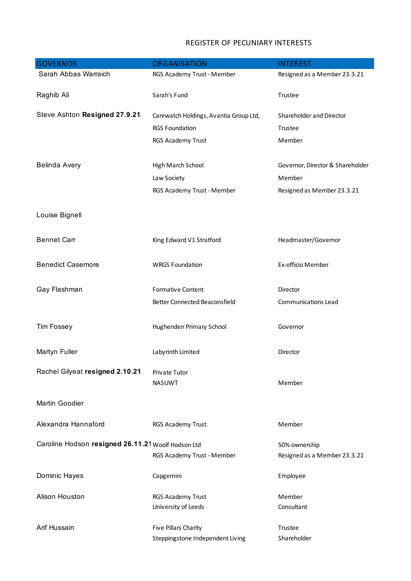## REGISTER OF PECUNIARY INTERESTS

| <b>GOVERNOR</b>                                    | <b>ORGANISATION</b>                    | <b>INTEREST</b>                  |
|----------------------------------------------------|----------------------------------------|----------------------------------|
| Sarah Abbas Warraich                               | RGS Academy Trust - Member             | Resigned as a Member 23.3.21     |
| Raghib Ali                                         | Sarah's Fund                           | Trustee                          |
| Steve Ashton Resigned 27.9.21                      | Carewatch Holdings, Avantia Group Ltd, | Shareholder and Director         |
|                                                    | <b>RGS Foundation</b>                  | Trustee                          |
|                                                    | RGS Academy Trust                      | Member                           |
| Belinda Avery                                      | High March School                      | Governor, Director & Shareholder |
|                                                    | Law Society                            | Member                           |
|                                                    | RGS Academy Trust - Member             | Resigned as Member 23.3.21       |
| Louise Bignell                                     |                                        |                                  |
| <b>Bennet Carr</b>                                 | King Edward V1 Stratford               | Headmaster/Governor              |
| <b>Benedict Casemore</b>                           | <b>WRGS Foundation</b>                 | Ex-officio Member                |
| Gay Flashman                                       | <b>Formative Content</b>               | Director                         |
|                                                    | <b>Better Connected Beaconsfield</b>   | <b>Communications Lead</b>       |
| <b>Tim Fossey</b>                                  | Hughenden Primary School               | Governor                         |
| Martyn Fuller                                      | Labyrinth Limited                      | Director                         |
| Rachel Gilyeat resigned 2.10.21                    | Private Tutor                          |                                  |
|                                                    | <b>NASUWT</b>                          | Member                           |
| Martin Goodier                                     |                                        |                                  |
| Alexandra Hannaford                                | RGS Academy Trust                      | Member                           |
| Caroline Hodson resigned 26.11.21 Woolf Hodson Ltd |                                        | 50% ownership                    |
|                                                    | RGS Academy Trust - Member             | Resigned as a Member 23.3.21     |
| Dominic Hayes                                      | Capgemini                              | Employee                         |
| Alison Houston                                     | RGS Academy Trust                      | Member                           |
|                                                    | University of Leeds                    | Consultant                       |
| Arif Hussain                                       | Five Pillars Charity                   | Trustee                          |
|                                                    | Steppingstone Independent Living       | Shareholder                      |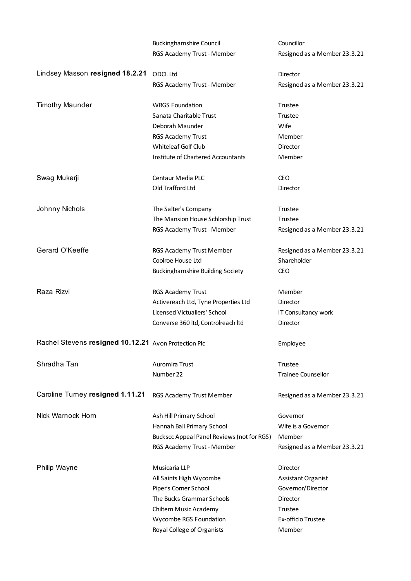|                                                      | <b>Buckinghamshire Council</b>             | Councillor                   |
|------------------------------------------------------|--------------------------------------------|------------------------------|
|                                                      | RGS Academy Trust - Member                 | Resigned as a Member 23.3.21 |
|                                                      |                                            |                              |
| Lindsey Masson resigned 18.2.21                      | ODCL Ltd                                   | Director                     |
|                                                      | RGS Academy Trust - Member                 | Resigned as a Member 23.3.21 |
|                                                      |                                            |                              |
| <b>Timothy Maunder</b>                               | <b>WRGS Foundation</b>                     | Trustee                      |
|                                                      | Sanata Charitable Trust                    | Trustee                      |
|                                                      | Deborah Maunder                            | Wife                         |
|                                                      | RGS Academy Trust                          | Member                       |
|                                                      | Whiteleaf Golf Club                        | Director                     |
|                                                      | <b>Institute of Chartered Accountants</b>  | Member                       |
|                                                      |                                            |                              |
| Swag Mukerji                                         | Centaur Media PLC                          | CEO                          |
|                                                      | Old Trafford Ltd                           | Director                     |
|                                                      |                                            |                              |
| Johnny Nichols                                       | The Salter's Company                       | Trustee                      |
|                                                      | The Mansion House Schlorship Trust         | Trustee                      |
|                                                      | RGS Academy Trust - Member                 | Resigned as a Member 23.3.21 |
|                                                      |                                            |                              |
| Gerard O'Keeffe                                      | RGS Academy Trust Member                   | Resigned as a Member 23.3.21 |
|                                                      | Coolroe House Ltd                          | Shareholder                  |
|                                                      | <b>Buckinghamshire Building Society</b>    | CEO                          |
|                                                      |                                            |                              |
| Raza Rizvi                                           | RGS Academy Trust                          | Member                       |
|                                                      | Activereach Ltd, Tyne Properties Ltd       | Director                     |
|                                                      | Licensed Victuallers' School               | IT Consultancy work          |
|                                                      | Converse 360 ltd, Controlreach ltd         | <b>Director</b>              |
|                                                      |                                            |                              |
| Rachel Stevens resigned 10.12.21 Avon Protection Plc |                                            | Employee                     |
|                                                      |                                            |                              |
| Shradha Tan                                          | Auromira Trust                             | Trustee                      |
|                                                      | Number 22                                  | <b>Trainee Counsellor</b>    |
|                                                      |                                            |                              |
| Caroline Turney resigned 1.11.21                     | RGS Academy Trust Member                   | Resigned as a Member 23.3.21 |
|                                                      |                                            |                              |
| Nick Warnock Horn                                    | Ash Hill Primary School                    | Governor                     |
|                                                      | Hannah Ball Primary School                 | Wife is a Governor           |
|                                                      | Buckscc Appeal Panel Reviews (not for RGS) | Member                       |
|                                                      | RGS Academy Trust - Member                 | Resigned as a Member 23.3.21 |
|                                                      |                                            |                              |
| Philip Wayne                                         | Musicaria LLP                              | Director                     |
|                                                      | All Saints High Wycombe                    | <b>Assistant Organist</b>    |
|                                                      | Piper's Corner School                      | Governor/Director            |
|                                                      | The Bucks Grammar Schools                  | Director                     |
|                                                      | Chiltern Music Academy                     | Trustee                      |
|                                                      | Wycombe RGS Foundation                     | Ex-officio Trustee           |
|                                                      | Royal College of Organists                 | Member                       |